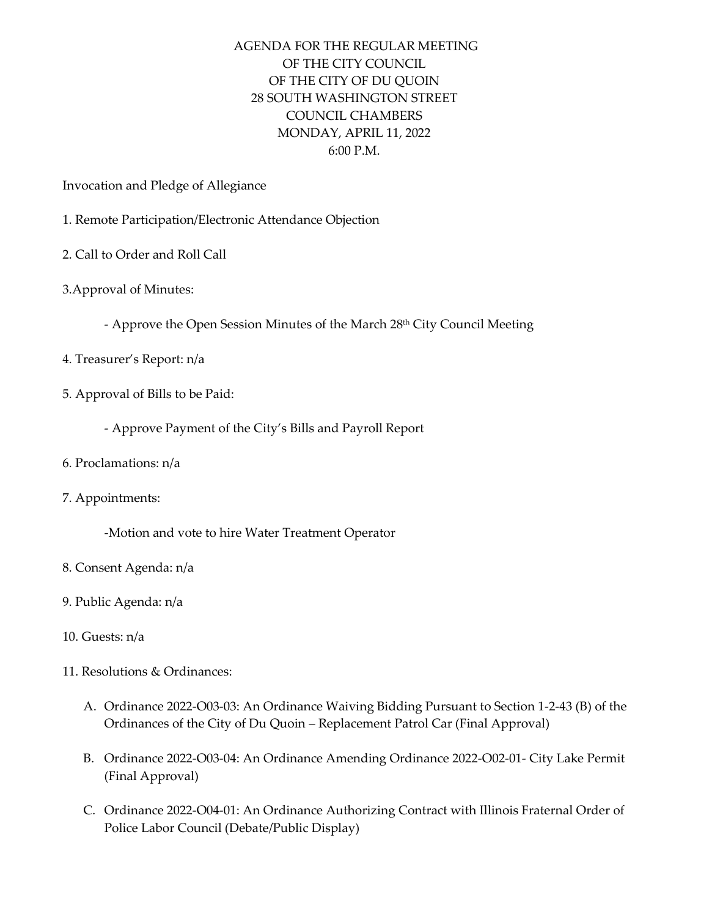## AGENDA FOR THE REGULAR MEETING OF THE CITY COUNCIL OF THE CITY OF DU QUOIN 28 SOUTH WASHINGTON STREET COUNCIL CHAMBERS MONDAY, APRIL 11, 2022 6:00 P.M.

Invocation and Pledge of Allegiance

- 1. Remote Participation/Electronic Attendance Objection
- 2. Call to Order and Roll Call
- 3.Approval of Minutes:
	- Approve the Open Session Minutes of the March 28<sup>th</sup> City Council Meeting
- 4. Treasurer's Report: n/a
- 5. Approval of Bills to be Paid:
	- Approve Payment of the City's Bills and Payroll Report
- 6. Proclamations: n/a
- 7. Appointments:

-Motion and vote to hire Water Treatment Operator

- 8. Consent Agenda: n/a
- 9. Public Agenda: n/a
- 10. Guests: n/a
- 11. Resolutions & Ordinances:
	- A. Ordinance 2022-O03-03: An Ordinance Waiving Bidding Pursuant to Section 1-2-43 (B) of the Ordinances of the City of Du Quoin – Replacement Patrol Car (Final Approval)
	- B. Ordinance 2022-O03-04: An Ordinance Amending Ordinance 2022-O02-01- City Lake Permit (Final Approval)
	- C. Ordinance 2022-O04-01: An Ordinance Authorizing Contract with Illinois Fraternal Order of Police Labor Council (Debate/Public Display)